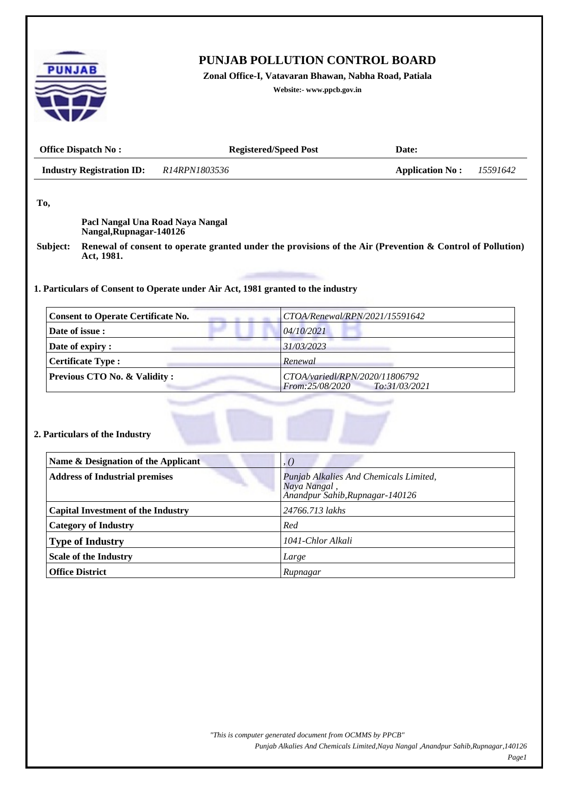| <b>Application No:</b><br>15591642<br>Renewal of consent to operate granted under the provisions of the Air (Prevention & Control of Pollution)<br>1. Particulars of Consent to Operate under Air Act, 1981 granted to the industry |
|-------------------------------------------------------------------------------------------------------------------------------------------------------------------------------------------------------------------------------------|
|                                                                                                                                                                                                                                     |
|                                                                                                                                                                                                                                     |
|                                                                                                                                                                                                                                     |
|                                                                                                                                                                                                                                     |
|                                                                                                                                                                                                                                     |
|                                                                                                                                                                                                                                     |
|                                                                                                                                                                                                                                     |
|                                                                                                                                                                                                                                     |
|                                                                                                                                                                                                                                     |
| CTOA/Renewal/RPN/2021/15591642                                                                                                                                                                                                      |
| 04/10/2021                                                                                                                                                                                                                          |
| 31/03/2023                                                                                                                                                                                                                          |
| Renewal                                                                                                                                                                                                                             |
| CTOA/variedl/RPN/2020/11806792<br>From:25/08/2020<br>To:31/03/2021                                                                                                                                                                  |
|                                                                                                                                                                                                                                     |
|                                                                                                                                                                                                                                     |
|                                                                                                                                                                                                                                     |
|                                                                                                                                                                                                                                     |
|                                                                                                                                                                                                                                     |
| , ()                                                                                                                                                                                                                                |
| Punjab Alkalies And Chemicals Limited,                                                                                                                                                                                              |
| Naya Nangal,<br>Anandpur Sahib, Rupnagar-140126                                                                                                                                                                                     |
|                                                                                                                                                                                                                                     |
| 24766.713 lakhs                                                                                                                                                                                                                     |
| Red                                                                                                                                                                                                                                 |
| 1041-Chlor Alkali                                                                                                                                                                                                                   |
| Large                                                                                                                                                                                                                               |
|                                                                                                                                                                                                                                     |

*Punjab Alkalies And Chemicals Limited,Naya Nangal ,Anandpur Sahib,Rupnagar,140126*

*Page1*